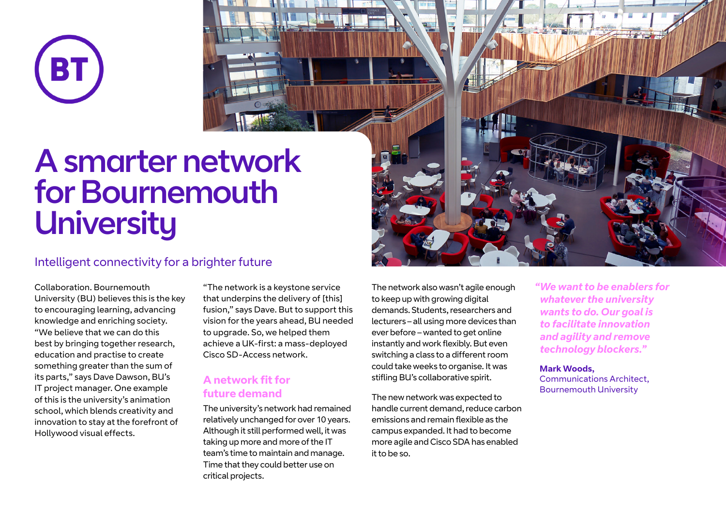

# A smarter network for Bournemouth **University**

### Intelligent connectivity for a brighter future

Collaboration. Bournemouth University (BU) believes this is the key to encouraging learning, advancing knowledge and enriching society. "We believe that we can do this best by bringing together research, education and practise to create something greater than the sum of its parts," says Dave Dawson, BU's IT project manager. One example of this is the university's animation school, which blends creativity and innovation to stay at the forefront of Hollywood visual effects.

"The network is a keystone service that underpins the delivery of [this] fusion," says Dave. But to support this vision for the years ahead, BU needed to upgrade. So, we helped them achieve a UK-first: a mass-deployed Cisco SD-Access network.

#### **A network fit for future demand**

The university's network had remained relatively unchanged for over 10 years. Although it still performed well, it was taking up more and more of the IT team's time to maintain and manage. Time that they could better use on critical projects.

The network also wasn't agile enough to keep up with growing digital demands. Students, researchers and lecturers – all using more devices than ever before – wanted to get online instantly and work flexibly. But even switching a class to a different room could take weeks to organise. It was stifling BU's collaborative spirit.

The new network was expected to handle current demand, reduce carbon emissions and remain flexible as the campus expanded. It had to become more agile and Cisco SDA has enabled it to be so.



*"We want to be enablers for whatever the university wants to do. Our goal is to facilitate innovation and agility and remove technology blockers."*

**Mark Woods,** Communications Architect, Bournemouth University